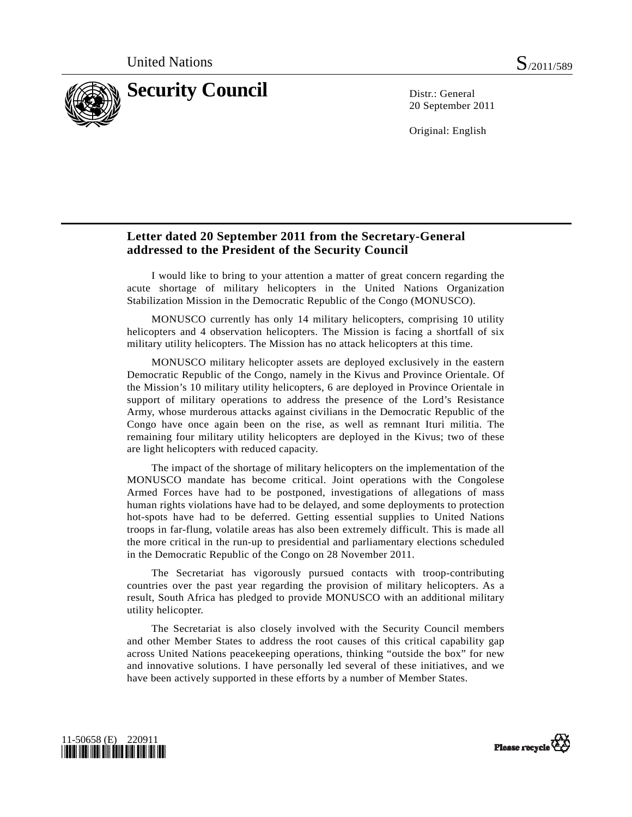

20 September 2011

Original: English

## **Letter dated 20 September 2011 from the Secretary-General addressed to the President of the Security Council**

 I would like to bring to your attention a matter of great concern regarding the acute shortage of military helicopters in the United Nations Organization Stabilization Mission in the Democratic Republic of the Congo (MONUSCO).

 MONUSCO currently has only 14 military helicopters, comprising 10 utility helicopters and 4 observation helicopters. The Mission is facing a shortfall of six military utility helicopters. The Mission has no attack helicopters at this time.

 MONUSCO military helicopter assets are deployed exclusively in the eastern Democratic Republic of the Congo, namely in the Kivus and Province Orientale. Of the Mission's 10 military utility helicopters, 6 are deployed in Province Orientale in support of military operations to address the presence of the Lord's Resistance Army, whose murderous attacks against civilians in the Democratic Republic of the Congo have once again been on the rise, as well as remnant Ituri militia. The remaining four military utility helicopters are deployed in the Kivus; two of these are light helicopters with reduced capacity.

 The impact of the shortage of military helicopters on the implementation of the MONUSCO mandate has become critical. Joint operations with the Congolese Armed Forces have had to be postponed, investigations of allegations of mass human rights violations have had to be delayed, and some deployments to protection hot-spots have had to be deferred. Getting essential supplies to United Nations troops in far-flung, volatile areas has also been extremely difficult. This is made all the more critical in the run-up to presidential and parliamentary elections scheduled in the Democratic Republic of the Congo on 28 November 2011.

 The Secretariat has vigorously pursued contacts with troop-contributing countries over the past year regarding the provision of military helicopters. As a result, South Africa has pledged to provide MONUSCO with an additional military utility helicopter.

 The Secretariat is also closely involved with the Security Council members and other Member States to address the root causes of this critical capability gap across United Nations peacekeeping operations, thinking "outside the box" for new and innovative solutions. I have personally led several of these initiatives, and we have been actively supported in these efforts by a number of Member States.